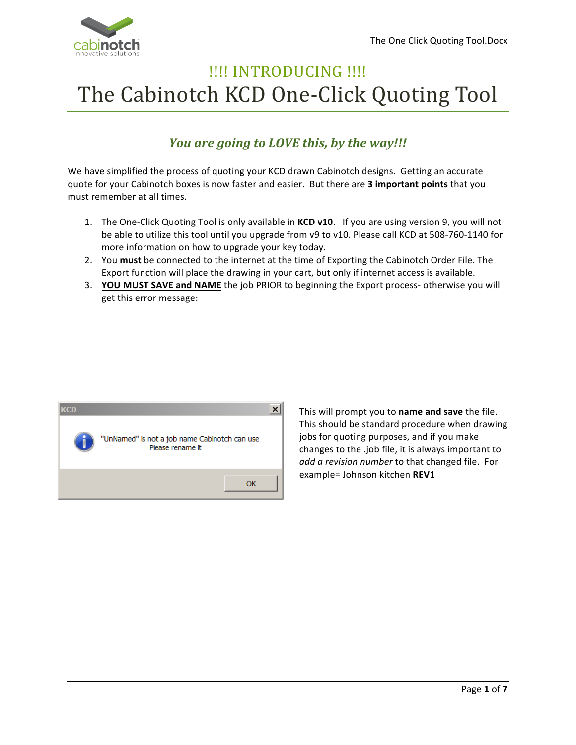

# !!!! INTRODUCING !!!! The Cabinotch KCD One-Click Quoting Tool

## *You are going to LOVE this, by the way!!!*

We have simplified the process of quoting your KCD drawn Cabinotch designs. Getting an accurate quote for your Cabinotch boxes is now faster and easier. But there are 3 important points that you must remember at all times.

- 1. The One-Click Quoting Tool is only available in **KCD v10**. If you are using version 9, you will not be able to utilize this tool until you upgrade from v9 to v10. Please call KCD at 508-760-1140 for more information on how to upgrade your key today.
- 2. You must be connected to the internet at the time of Exporting the Cabinotch Order File. The Export function will place the drawing in your cart, but only if internet access is available.
- 3. **YOU MUST SAVE and NAME** the job PRIOR to beginning the Export process- otherwise you will get this error message:



This will prompt you to **name and save** the file. This should be standard procedure when drawing jobs for quoting purposes, and if you make changes to the .job file, it is always important to add a revision number to that changed file. For example= Johnson kitchen **REV1**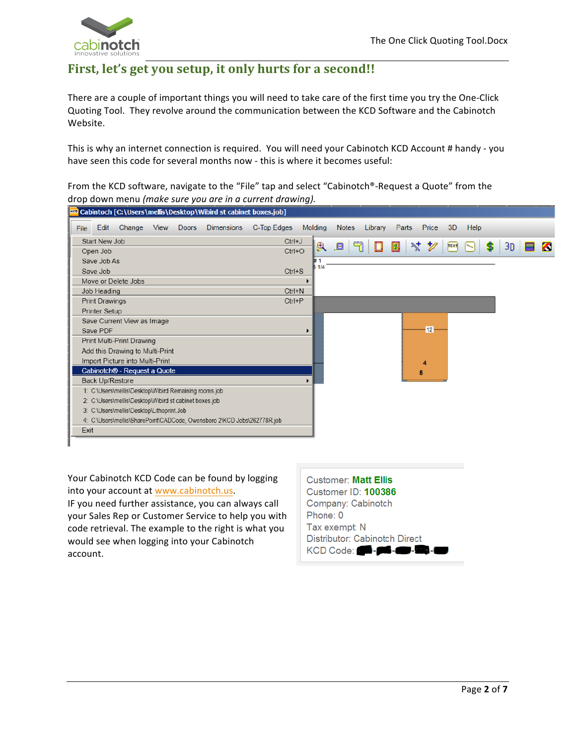

### First, let's get you setup, it only hurts for a second!!

There are a couple of important things you will need to take care of the first time you try the One-Click Quoting Tool. They revolve around the communication between the KCD Software and the Cabinotch Website. 

This is why an internet connection is required. You will need your Cabinotch KCD Account # handy - you have seen this code for several months now - this is where it becomes useful:

From the KCD software, navigate to the "File" tap and select "Cabinotch®-Request a Quote" from the drop down menu (make sure you are in a current drawing).



Your Cabinotch KCD Code can be found by logging into your account at www.cabinotch.us.

IF you need further assistance, you can always call your Sales Rep or Customer Service to help you with code retrieval. The example to the right is what you would see when logging into your Cabinotch account.

| <b>Customer: Matt Ellis</b>          |
|--------------------------------------|
| Customer ID: 100386                  |
| Company: Cabinotch                   |
| Phone: 0                             |
| Tax exempt: N                        |
| Distributor: Cabinotch Direct        |
| KCD Code: <b>20 - 26 - 20 - 20 -</b> |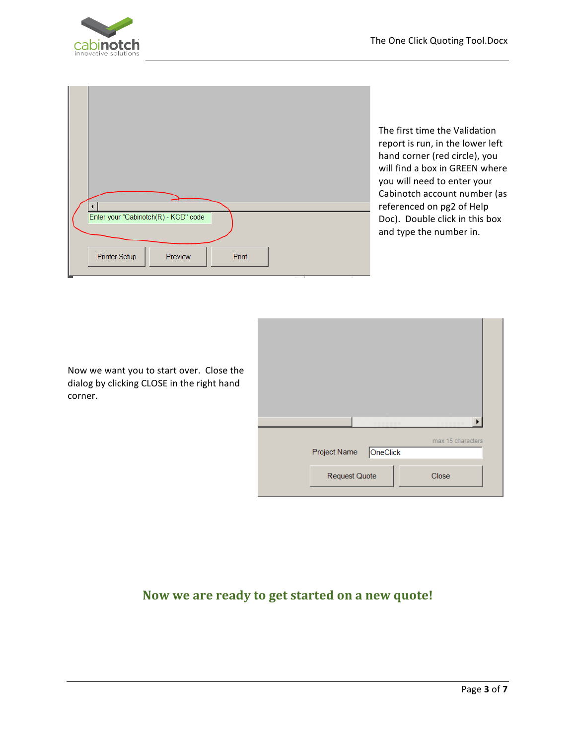

| $\blacktriangleleft$<br>Enter your "Cabinotch(R) - KCD" code |
|--------------------------------------------------------------|
|                                                              |
| Printer Setup<br>Preview<br>Print                            |
| <br>×<br>٠                                                   |

The first time the Validation report is run, in the lower left hand corner (red circle), you will find a box in GREEN where you will need to enter your Cabinotch account number (as referenced on pg2 of Help Doc). Double click in this box and type the number in.

Now we want you to start over. Close the dialog by clicking CLOSE in the right hand corner.

|                          | ▶                 |
|--------------------------|-------------------|
| OneClick<br>Project Name | max 15 characters |
| <b>Request Quote</b>     | Close             |

#### Now we are ready to get started on a new quote!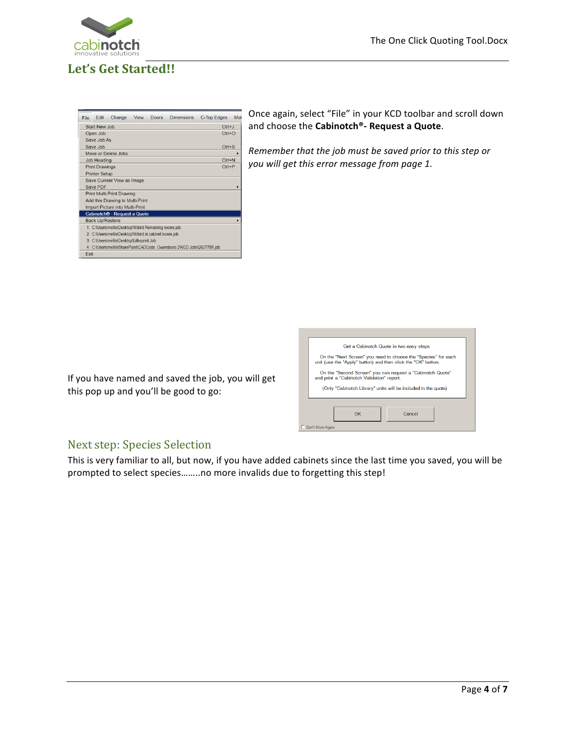

# Let's Get Started!!

| File                       | <b>Fdit</b>            | Change                                                 | View | Doors. | <b>Dimensions</b>                                                       | C-Top Edges | Mol |  |
|----------------------------|------------------------|--------------------------------------------------------|------|--------|-------------------------------------------------------------------------|-------------|-----|--|
|                            | Start New Job          |                                                        |      |        |                                                                         | $Ctrl+J$    |     |  |
| Open Job<br>$Ctrl + O$     |                        |                                                        |      |        |                                                                         |             |     |  |
|                            | Save Job As            |                                                        |      |        |                                                                         |             |     |  |
|                            | Save Job               |                                                        |      |        |                                                                         | $Ctrl + S$  |     |  |
|                            |                        | Move or Delete Jobs                                    |      |        |                                                                         |             |     |  |
|                            | Job Heading            |                                                        |      |        |                                                                         | $CtrI + N$  |     |  |
|                            | <b>Print Drawings</b>  |                                                        |      |        |                                                                         | $Ctrl + P$  |     |  |
|                            | <b>Printer Setup</b>   |                                                        |      |        |                                                                         |             |     |  |
| Save Current View as Image |                        |                                                        |      |        |                                                                         |             |     |  |
| Save PDF                   |                        |                                                        |      |        |                                                                         |             |     |  |
|                            |                        | Print Multi-Print Drawing                              |      |        |                                                                         |             |     |  |
|                            |                        | Add this Drawing to Multi-Print                        |      |        |                                                                         |             |     |  |
|                            |                        | Import Picture into Multi-Print                        |      |        |                                                                         |             |     |  |
|                            |                        | Cabinotch® - Request a Quote                           |      |        |                                                                         |             |     |  |
|                            | <b>Back Up/Restore</b> |                                                        |      |        |                                                                         |             |     |  |
|                            |                        | 1: C:\Users\mellis\Desktop\Wibird Remaining rooms.job  |      |        |                                                                         |             |     |  |
|                            |                        | 2: C:\Users\mellis\Desktop\Wibird st cabinet boxes.job |      |        |                                                                         |             |     |  |
|                            |                        | 3: C:\Users\mellis\Desktop\Lithoprint.Job              |      |        |                                                                         |             |     |  |
|                            |                        |                                                        |      |        | 4: C:\Users\mellis\SharePoint\CADCode, Owensboro 2\KCD Jobs\262778R.job |             |     |  |
| Fxit                       |                        |                                                        |      |        |                                                                         |             |     |  |

Once again, select "File" in your KCD toolbar and scroll down and choose the **Cabinotch®**- **Request a Quote**.

*Remember that the job must be saved prior to this step or* you will get this error message from page 1.

If you have named and saved the job, you will get this pop up and you'll be good to go:

| Get a Cabinotch Quote in two easy steps                                                                                         |  |  |  |  |  |  |  |
|---------------------------------------------------------------------------------------------------------------------------------|--|--|--|--|--|--|--|
| On the "Next Screen" you need to choose the "Species" for each<br>unit (use the "Apply" button) and then click the "OK" button. |  |  |  |  |  |  |  |
| On the "Second Screen" you can request a "Cabinotch Quote"<br>and print a "Cabinotch Validation" report.                        |  |  |  |  |  |  |  |
| (Only "Cabinotch Library" units will be included in the quote)                                                                  |  |  |  |  |  |  |  |
|                                                                                                                                 |  |  |  |  |  |  |  |
| Cancel<br>OK                                                                                                                    |  |  |  |  |  |  |  |
| Don't Show Again                                                                                                                |  |  |  |  |  |  |  |

#### Next step: Species Selection

This is very familiar to all, but now, if you have added cabinets since the last time you saved, you will be prompted to select species........no more invalids due to forgetting this step!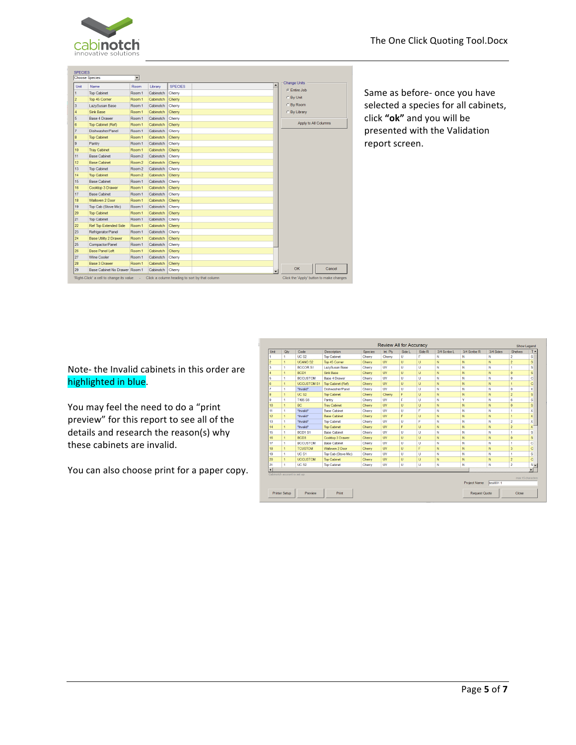

| Unit           | <b>Name</b>                   | Room              | Library   | <b>SPECIES</b> | <b>Change Units</b><br>$\blacktriangle$ |                      |
|----------------|-------------------------------|-------------------|-----------|----------------|-----------------------------------------|----------------------|
|                | <b>Top Cabinet</b>            | Room 1            | Cabinotch | Cherry         | C Entire Job                            |                      |
| <sup>2</sup>   | Top 45 Corner                 | Room 1            | Cabinotch | Cherry         | C By Unit                               |                      |
| $\overline{3}$ | LazvSusan Base                | Room 1            | Cabinotch | Cherry         | C By Room                               |                      |
| Δ              | <b>Sink Base</b>              | Room 1            | Cabinotch | Cherry         | C By Library                            |                      |
| 5              | <b>Base 4 Drawer</b>          | Room 1            | Cabinotch | Cherry         |                                         |                      |
| 6              | Top Cabinet (Ref)             | Room 1            | Cabinotch | Cherry         |                                         | Apply to All Columns |
| 7              | Dishwasher/Panel              | Room 1            | Cabinotch | Cherry         |                                         |                      |
| 8              | <b>Top Cabinet</b>            | Room 1            | Cabinotch | Cherry         |                                         |                      |
| 9              | Pantry                        | Room 1            | Cabinotch | Cherry         |                                         |                      |
| 10             | <b>Tray Cabinet</b>           | Room 1            | Cabinotch | Cherry         |                                         |                      |
| 11             | <b>Base Cabinet</b>           | Room <sub>2</sub> | Cabinotch | Cherry         |                                         |                      |
| 12             | <b>Base Cabinet</b>           | Room <sub>2</sub> | Cabinotch | Cherry         |                                         |                      |
| 13             | <b>Top Cabinet</b>            | Room <sub>2</sub> | Cabinotch | Cherry         |                                         |                      |
| 14             | <b>Top Cabinet</b>            | Room <sub>2</sub> | Cabinotch | Cherry         |                                         |                      |
| 15             | <b>Base Cabinet</b>           | Room 1            | Cabinotch | Cherry         |                                         |                      |
| 16             | Cooktop 3 Drawer              | Room 1            | Cabinotch | Cherry         |                                         |                      |
| 17             | <b>Base Cabinet</b>           | Room 1            | Cabinotch | Cherry         |                                         |                      |
| 18             | Walloven 2 Door               | Room 1            | Cabinotch | Cherry         |                                         |                      |
| 19             | Top Cab (Stove Mic)           | Room 1            | Cabinotch | Cherry         |                                         |                      |
| 20             | <b>Top Cabinet</b>            | Room 1            | Cabinotch | Cherry         |                                         |                      |
| 21             | <b>Top Cabinet</b>            | Room 1            | Cabinotch | Cherry         |                                         |                      |
| 22             | <b>Ref Top Extended Side</b>  | Room 1            | Cabinotch | Cherry         |                                         |                      |
| 23             | Refrigerator/Panel            | Room 1            | Cabinotch | Cherry         |                                         |                      |
| 24             | <b>Base Utility 2 Drawer</b>  | Room 1            | Cabinotch | Cherry         |                                         |                      |
| 25             | Compactor/Panel               | Room 1            | Cabinotch | Cherry         |                                         |                      |
| 26             | <b>Base Panel Left</b>        | Room 1            | Cabinotch | Cherry         |                                         |                      |
| 27             | <b>Wine Cooler</b>            | Room 1            | Cabinotch | Cherry         |                                         |                      |
| 28             | <b>Base 3 Drawer</b>          | Room 1            | Cabinotch | Cherry         |                                         |                      |
| 29             | Base Cabinet No Drawer Room 1 |                   | Cabinotch | Cherry         | OK<br>$\overline{\phantom{a}}$          |                      |

Same as before- once you have selected a species for all cabinets, click "ok" and you will be presented with the Validation report screen.

Note- the Invalid cabinets in this order are highlighted in blue.

You may feel the need to do a "print preview" for this report to see all of the details and research the reason(s) why these cabinets are invalid.

You can also choose print for a paper copy.

| Unit                 | Qtv            | Code               | Description            | <b>Species</b> | Int. Plv  | Side L | Side R | 3/4 Scribe L | 3/4 Scribe R | 3/4 Sides | <b>Shelves</b>          | TA                 |
|----------------------|----------------|--------------------|------------------------|----------------|-----------|--------|--------|--------------|--------------|-----------|-------------------------|--------------------|
| 1                    |                | <b>UC S2</b>       | <b>Top Cabinet</b>     | Cherry         | Cherry    | U      | F      | N            | N            | N         | $\overline{2}$          | s                  |
|                      |                | <b>UCANG S2</b>    | Top 45 Comer           | Cherry         | <b>UV</b> | U.     | Ù.     | N            | N            | N         | $\overline{2}$          | S                  |
| 3<br>1               |                | BCCOR S1           | LazySusan Base         | Cherry         | <b>UV</b> | u      | u      | Ν            | N            | N         | 1                       | s                  |
|                      |                | BCD1               | <b>Sink Base</b>       | Cherry         | <b>UV</b> | Ü      | Ü      | N            | N            | N         | $\bullet$               | s                  |
| 5<br>1               |                | <b>BCCUSTOM</b>    | <b>Base 4 Drawer</b>   | Cherry         | <b>UV</b> | U.     | U.     | N            | N            | N         | $\bullet$               | ¢                  |
| 6<br>$\overline{1}$  |                | <b>UCCUSTOM S1</b> | Top Cabinet (Ref)      | Cherry         | <b>UV</b> | Ù.     | u      | N            | N            | N         | $\mathbf{1}$            | C                  |
| 4                    |                | *Invalid*          | Dishwasher/Panel       | Cherry         | <b>UV</b> | U      | U      | Ν            | N            | N         | 0                       | X                  |
| g<br>$\overline{1}$  |                | UC <sub>S2</sub>   | <b>Top Cabinet</b>     | Cherry         | Cherry    | F      | Ù.     | N            | N            | N         | $\overline{2}$          | s                  |
| 9<br>4               |                | T485 S6            | Pantry                 | Cherry         | <b>UV</b> | F      | U.     | N            | Y            | N         | 6                       | s                  |
| 10<br>$\mathbf{1}$   |                | BC.                | <b>Trav Cabinet</b>    | Cherry         | <b>UV</b> | U.     | Ù.     | N            | N            | N         | $\mathbf{0}$            | s                  |
| 11<br>1              |                | *Invalid*          | <b>Base Cabinet</b>    | Cherry         | <b>UV</b> | Ü      | F      | N            | N            | N         | 1                       | x                  |
| 12<br>$\mathbf{1}$   |                | *Invalid*          | <b>Base Cabinet</b>    | Cherry         | <b>UV</b> | F      | Ù.     | N            | N            | N         | $\overline{1}$          | X                  |
| 13<br>1              |                | *Invalid*          | <b>Top Cabinet</b>     | Cherry         | <b>UV</b> | Ù      | F      | N            | N            | N         | $\overline{2}$          | X                  |
| 14<br>$\mathbf{1}$   |                | *Invalid*          | <b>Top Cabinet</b>     | Cherry         | <b>UV</b> | F      | u      | N            | N            | N         | $\overline{2}$          | $X^-$              |
| 15<br>1              |                | BCD1S1             | <b>Base Cabinet</b>    | Cherry         | <b>UV</b> | Ü      | Ù.     | N            | N            | N         | 1                       | s                  |
| 16<br>$\overline{1}$ |                | BCD <sub>3</sub>   | Cooktop 3 Drawer       | Cherry         | <b>UV</b> | U.     | u.     | N            | N            | N         | $\bf{0}$                | S                  |
| 17<br>1              |                | <b>BCCUSTOM</b>    | <b>Base Cabinet</b>    | Cherry         | <b>UV</b> | Ü      | U      | Ν            | N            | N         | 1                       | ¢                  |
| 18<br>$\mathbf{1}$   |                | <b>TCUSTOM</b>     | <b>Walloven 2 Door</b> | Cherry         | <b>UV</b> | U.     | F      | N            | N            | N         | $\overline{\mathbf{3}}$ | c                  |
|                      | $\blacksquare$ | UC <sub>S1</sub>   | Top Cab (Stove Mic)    | Cherry         | <b>UV</b> | u      | u      | Ν            | N            | N         | 1                       | s                  |
| 19                   |                | <b>UCCUSTOM</b>    | <b>Top Cabinet</b>     | Cherry         | <b>UV</b> | Ü      | U      | N            | N            | N         | $\overline{\mathbf{c}}$ | c                  |
| 20<br>$\mathbf{1}$   |                |                    |                        |                |           |        |        |              |              |           |                         |                    |
| 21<br>1              |                | <b>UC S2</b>       | <b>Top Cabinet</b>     | Cherry         | <b>UV</b> | Ü      | U.     | N            | N            | N         | $\overline{2}$          | $s_{\overline{z}}$ |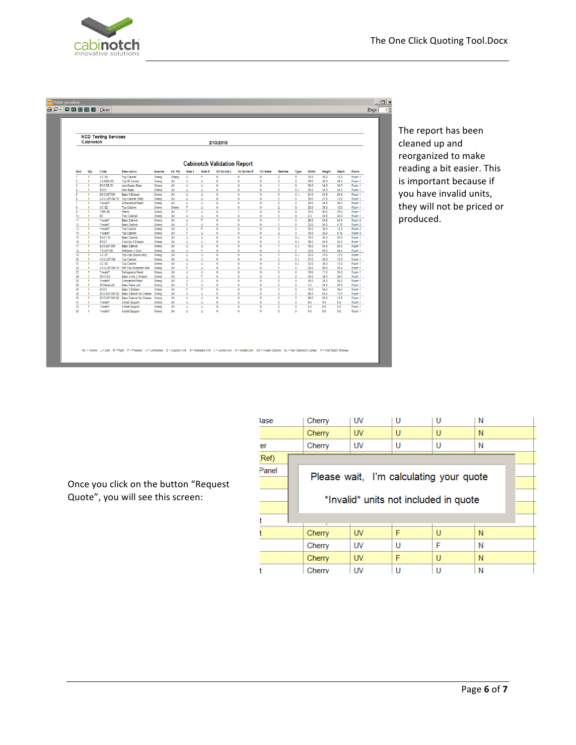

|                              |        |                                     |                                                            |                  |                        |         |        | 2/13/2015                          |              |           |                                  |                         |              |               |              |                             |
|------------------------------|--------|-------------------------------------|------------------------------------------------------------|------------------|------------------------|---------|--------|------------------------------------|--------------|-----------|----------------------------------|-------------------------|--------------|---------------|--------------|-----------------------------|
|                              |        |                                     |                                                            |                  |                        |         |        |                                    |              |           |                                  |                         |              |               |              |                             |
|                              |        |                                     |                                                            |                  |                        |         |        |                                    |              |           |                                  |                         |              |               |              |                             |
|                              |        |                                     |                                                            |                  |                        |         |        | <b>Cabinotch Validation Report</b> |              |           |                                  |                         |              |               |              |                             |
| Unit                         | Oty    | Code                                | <b>Description</b>                                         | <b>Species</b>   | Int. Ply               | Side L  | Side R | 3/4 Scribe L                       | 3/4 Scribe R | 3/4 Sides | Shelves                          | Type                    | Width        | <b>Height</b> | Depth        | Room                        |
| ٠                            | Ŧ      | UC <sub>S2</sub>                    | <b>Too Cabinet</b>                                         | Cherry           | Cherry                 | Ü       | F      | N                                  | N            | N         | $\overline{2}$                   | $\overline{\mathbf{s}}$ | 33.0         | 36.0          | 12.0         | Room 1                      |
| $\overline{\mathbf{c}}$      | ٠      | <b>UCANG S2</b>                     | Top 45 Comer                                               | Cherry           | UV                     | U       | U      | N                                  | N            | N         | $\overline{2}$                   | s                       | 24.0         | 36.0          | 24.0         | Room 1                      |
| $\overline{\mathbf{3}}$<br>4 | ٠      | <b>BCCOR S1</b>                     | LazySusan Base                                             | Cherry           | <b>UV</b>              | Ū       | Ū      | Ñ                                  | Ñ            | Ñ         | ٢                                | $\overline{\mathbf{s}}$ | 36.0         | 34.5          | 36.0         | Room 1                      |
| s                            | 4<br>4 | BCD <sub>1</sub><br><b>BCCUSTOM</b> | Sink Base<br><b>Base 4 Drawer</b>                          | Cherry<br>Cherry | <b>UV</b><br><b>UV</b> | U<br>U  | U<br>Ü | N<br>N                             | N<br>N       | N<br>N    | ٥<br>۰                           | SJ<br>e J               | 36.0<br>21.0 | 34.5<br>34.5  | 24.0<br>24.0 | Room 1<br>Room 1            |
| 6                            | ٠      |                                     | UCCUSTOM S1 Too Cabinet (Ref)                              | Cherry           | <b>UV</b>              | U       | U      | N                                  | N            | N         | ٠                                | ċ.                      | 36.0         | 21.0          | 12.0         | Room 1                      |
| 7                            | ×      | *Invalid*                           | Dishwasher/Panel                                           | Cherry           | <b>UV</b>              | U       | Ü      | N                                  | N            | N         | ۰                                | x                       | 24.0         | 34.5          | 24.0         | Room 1                      |
| 8                            | 1      | <b>UC S2</b>                        | <b>Top Cabinet</b>                                         | Cherry           | Cherry                 | F       | U.     | N                                  | N            | N         | $\overline{2}$                   | s                       | 33.0         | 36.0          | 12.0         | Room 1                      |
| 9                            | 1      | T485 S6                             | Pantry                                                     | Cherry           | UV                     | F       | Ü      | N                                  | Ÿ            | N         | 6                                | s                       | 180          | 90.0          | 24.0         | Room 1                      |
| 10                           | ٠      | <b>BC</b>                           | <b>Tray Cabinet</b>                                        | Cherry           | UV                     | U       | U      | N                                  | N            | N         | ۰                                | s                       | 9.0          | 34.5          | 24.0         | Room 1                      |
| $\overline{11}$              | ÷      | *Invalid*                           | <b>Base Cabinet</b>                                        | Cherry           | <b>UV</b>              | U<br>F. | F      | N                                  | N            | N         | ł                                | $\overline{\mathbf{x}}$ | 28.0         | 34.5          | 24.0         | Room 2                      |
| 12<br>13                     | ٠<br>1 | *Invalid*<br>*Invalid*              | <b>Base Cabinet</b><br><b>Top Cabinet</b>                  | Cherry           | UV<br>UV               | Ü       | Ù<br>F | N<br>N                             | Ň<br>N       | N<br>N    | 1<br>$\overline{2}$              | x<br>$\mathbf{x}$       | 32.0<br>20.0 | 34.5<br>36.0  | 0.75<br>12.0 | Room 2<br>Room <sub>2</sub> |
| 14                           | ٠      | *Invalid*                           | <b>Top Cabinet</b>                                         | Cherry<br>Cherry | UV                     | F       | U      | N                                  | N            | N         | $\overline{2}$                   | x                       | 18.0         | 36.0          | 0.75         | Room 2                      |
| 15                           | ٠      | BCD1 <sub>S1</sub>                  | <b>Base Cabinet</b>                                        | Cherry           | UV                     | U       | U      | N                                  | Ñ            | N         | ٠                                | 5J                      | 18.0         | 34.5          | 24.0         | Room 1                      |
| 16                           | ٠      | BCD <sub>3</sub>                    | Cooktoo 3 Drawer                                           | Cherry           | <b>UV</b>              | Ù       | Ù.     | Ň                                  | N            | Ň         | ٥                                | SJ                      | 36.0         | 34.5          | 24.0         | Room 1                      |
| $\overline{17}$              | ٠      | <b>BCCUSTOM</b>                     | <b>Base Cabinet</b>                                        | Cherry           | <b>UV</b>              | U       | U      | N                                  | N            | N         | ł.                               | e J                     | 18.0         | 34.5          | 24.0         | Room 1                      |
| 18                           | ٠      | <b>TCUSTOM</b>                      | Walloven 2 Door                                            | Cherry           | <b>UV</b>              | Ù       | F.     | N                                  | Ň            | Ň         | 3                                | ċ.                      | 33.0         | 90.0          | 24.0         | Room 1                      |
| 19<br>20                     | 1      | UC <sub>S1</sub>                    | Top Cab (Stove Mic)                                        | Cherry           | UV<br>UV               | U       | Ù<br>Ü | N                                  | N<br>N       | N         | 1                                | SJ.                     | 30.0         | 18.0          | 12.0         | Room 1                      |
| 21                           | 1<br>٠ | <b>UCCUSTOM</b><br><b>UC S2</b>     | <b>Top Cabinet</b><br><b>Top Cabinet</b>                   | Cherry<br>Cherry | UV                     | U<br>U  | U      | N<br>N                             | N            | N<br>N    | $\overline{2}$<br>$\overline{c}$ | c J<br>SJ               | 21.0<br>33.0 | 36.0<br>36.0  | 12.0<br>12.0 | Room 1<br>Room 1            |
| $\boldsymbol{\mathit{22}}$   | ٠      |                                     | UCCUSTOM S1 Ref Too Extended Side                          | Cherry           | UV                     | F       | Ü      | Ň                                  | N            | N         | ٠                                | ¢.                      | 36.0         | 90.0          | 24.0         | Room 1                      |
| 23                           | ٠      | *Invalid*                           | Refrigerator/Panel                                         | Cherry           | <b>UV</b>              | U       | U      | N                                  | N            | N         | ٥                                | x                       | 34.0         | 71.0          | 24.0         | Room 1                      |
| 24                           | 1      | BCO1D2                              | Base Utility 2 Drawer                                      | Cherry           | UV                     | U       | ¢,     | N                                  | N            | N         | ٥                                | s                       | 36.0         | 34.5          | 24.0         | Room 1                      |
| 25                           | 1      | *Invalid*                           | Compactor/Panel                                            | Cherry           | UV                     | U       | Ü      | N                                  | N            | N         | ۰                                | x                       | 18.0         | 34.5          | 24.0         | Room 1                      |
| 26                           | ×,     | <b>BCPanelLeft</b>                  | <b>Base Panel Left</b>                                     | Cherry           | UV                     | F       | Ù.     | N                                  | N            | N         | ۰                                | s                       | 3.0          | 34.5          | 24.0         | Room 1                      |
| 28<br>29                     | 1<br>4 | BCD <sub>3</sub>                    | <b>Base 3 Drawer</b><br>BCCUSTOM S2 Base Cabinet No Drawer | Cherry           | UV<br>UV               | F<br>U  | F<br>U | N<br>N                             | N<br>N       | N<br>N    | ٥<br>2                           | s<br>¢.                 | 15.0<br>48.0 | 34.5<br>40.5  | 24.0<br>12.0 | Room 1                      |
| 30                           | ٠      |                                     | BCCUSTOM S2 Base Cabinet No Drawer                         | Cherry<br>Cherry | <b>UV</b>              | U       | U      | N                                  | Ñ            | Ñ         | $\overline{2}$                   | ō                       | 48.0         | 40.5          | 12.0         | Room 1<br>Room 1            |
| 31                           | 1      | *Invalid*                           | Corbel Support                                             | Cherry           | UV                     | U       | Ù      | N                                  | N            | N         | ٥                                | x                       | 4.0          | 9.0           | 6.0          | Room 1                      |
|                              | 1      | *Invalid*                           | Corbel Support                                             | Cherry           | UV                     | Ü       | Ü      | N                                  | Ñ            | N         | ۰                                | x                       | 4.0          | 9.0           | 6.0          | Room 1                      |
| 32                           |        |                                     | Corbel Support                                             | Cherry           | UV                     | Ü       | Ù      | N                                  | N            | N         | o                                | x                       | 4.0          | 9.0           | 6.0          | Room 1                      |

The report has been cleaned up and reorganized to make reading a bit easier. This is important because if you have invalid units, they will not be priced or produced. 

| lase  | Cherry                                | UV        | U | U                                       | N |  |  |  |  |  |
|-------|---------------------------------------|-----------|---|-----------------------------------------|---|--|--|--|--|--|
|       | Cherry                                | <b>UV</b> | U | U                                       | N |  |  |  |  |  |
| er    | Cherry                                | <b>UV</b> | U | U                                       | Ν |  |  |  |  |  |
| (Ref) |                                       |           |   |                                         |   |  |  |  |  |  |
| Panel |                                       |           |   |                                         |   |  |  |  |  |  |
|       |                                       |           |   | Please wait, I'm calculating your quote |   |  |  |  |  |  |
|       | *Invalid* units not included in quote |           |   |                                         |   |  |  |  |  |  |
|       |                                       |           |   |                                         |   |  |  |  |  |  |
|       | ٠                                     |           |   |                                         |   |  |  |  |  |  |
|       | Cherry                                | <b>UV</b> | F | U                                       | N |  |  |  |  |  |
|       | Cherry                                | UV        | U | F                                       | Ν |  |  |  |  |  |
|       | Cherry                                | <b>UV</b> | F | U                                       | N |  |  |  |  |  |
|       | Cherry                                | <b>UV</b> | П | U                                       | Ν |  |  |  |  |  |

Once you click on the button "Request Quote", you will see this screen: